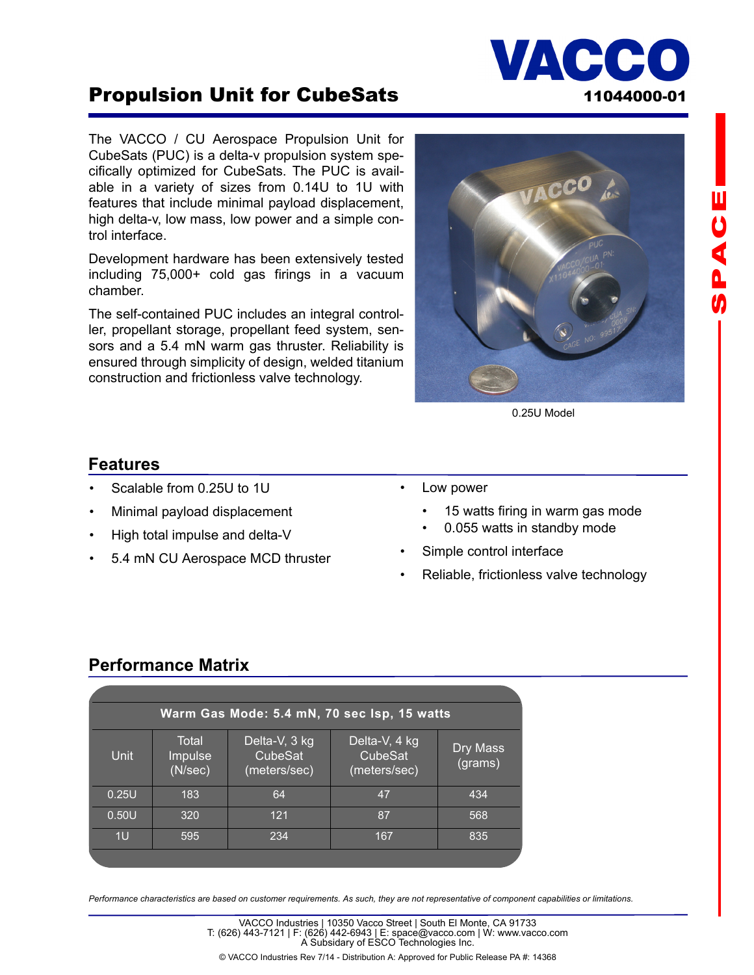

**山りくんの** 

# Propulsion Unit for CubeSats 11044000-01

The VACCO / CU Aerospace Propulsion Unit for CubeSats (PUC) is a delta-v propulsion system specifically optimized for CubeSats. The PUC is available in a variety of sizes from 0.14U to 1U with features that include minimal payload displacement, high delta-v, low mass, low power and a simple control interface.

Development hardware has been extensively tested including 75,000+ cold gas firings in a vacuum chamber.

The self-contained PUC includes an integral controller, propellant storage, propellant feed system, sensors and a 5.4 mN warm gas thruster. Reliability is ensured through simplicity of design, welded titanium construction and frictionless valve technology.



0.25U Model

#### **Features**

- Scalable from 0.25U to 1U
- Minimal payload displacement
- High total impulse and delta-V
- 5.4 mN CU Aerospace MCD thruster
- Low power
	- 15 watts firing in warm gas mode
	- 0.055 watts in standby mode
- Simple control interface
- Reliable, frictionless valve technology

### **Performance Matrix**

| Warm Gas Mode: 5.4 mN, 70 sec Isp, 15 watts |                                          |                                          |                                          |                     |
|---------------------------------------------|------------------------------------------|------------------------------------------|------------------------------------------|---------------------|
| Unit                                        | Total<br>Impulse <sup>1</sup><br>(N/sec) | Delta-V, 3 kg<br>CubeSat<br>(meters/sec) | Delta-V, 4 kg<br>CubeSat<br>(meters/sec) | Dry Mass<br>(grams) |
| 0.25U                                       | 183                                      | 64                                       | 47                                       | 434                 |
| 0.50U                                       | 320                                      | 121                                      | 87                                       | 568                 |
| 1U                                          | 595                                      | 234                                      | 167                                      | 835                 |
|                                             |                                          |                                          |                                          |                     |

*Performance characteristics are based on customer requirements. As such, they are not representative of component capabilities or limitations.* 

© VACCO Industries Rev 7/14 - Distribution A: Approved for Public Release PA #: 14368